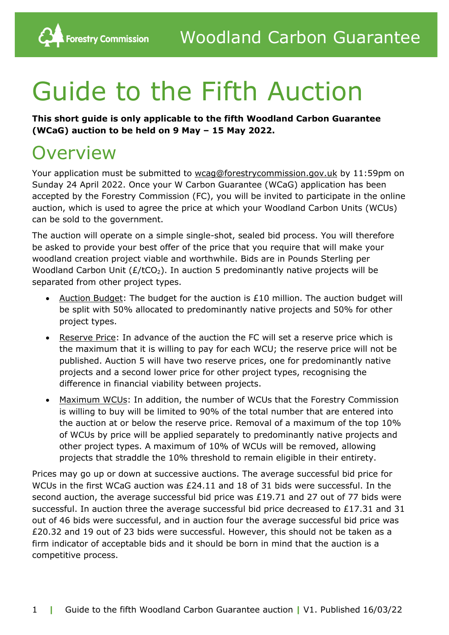# Guide to the Fifth Auction

**This short guide is only applicable to the fifth Woodland Carbon Guarantee (WCaG) auction to be held on 9 May – 15 May 2022.**

## **Overview**

**Forestry Commission** 

Your application must be submitted to [wcag@forestrycommission.gov.uk](mailto:wcag@forestrycommission.gov.uk) by 11:59pm on Sunday 24 April 2022. Once your W Carbon Guarantee (WCaG) application has been accepted by the Forestry Commission (FC), you will be invited to participate in the online auction, which is used to agree the price at which your Woodland Carbon Units (WCUs) can be sold to the government.

The auction will operate on a simple single-shot, sealed bid process. You will therefore be asked to provide your best offer of the price that you require that will make your woodland creation project viable and worthwhile. Bids are in Pounds Sterling per Woodland Carbon Unit  $(E/ tCO<sub>2</sub>)$ . In auction 5 predominantly native projects will be separated from other project types.

- Auction Budget: The budget for the auction is £10 million. The auction budget will be split with 50% allocated to predominantly native projects and 50% for other project types.
- Reserve Price: In advance of the auction the FC will set a reserve price which is the maximum that it is willing to pay for each WCU; the reserve price will not be published. Auction 5 will have two reserve prices, one for predominantly native projects and a second lower price for other project types, recognising the difference in financial viability between projects.
- Maximum WCUs: In addition, the number of WCUs that the Forestry Commission is willing to buy will be limited to 90% of the total number that are entered into the auction at or below the reserve price. Removal of a maximum of the top 10% of WCUs by price will be applied separately to predominantly native projects and other project types. A maximum of 10% of WCUs will be removed, allowing projects that straddle the 10% threshold to remain eligible in their entirety.

Prices may go up or down at successive auctions. The average successful bid price for WCUs in the first WCaG auction was £24.11 and 18 of 31 bids were successful. In the second auction, the average successful bid price was £19.71 and 27 out of 77 bids were successful. In auction three the average successful bid price decreased to £17.31 and 31 out of 46 bids were successful, and in auction four the average successful bid price was £20.32 and 19 out of 23 bids were successful. However, this should not be taken as a firm indicator of acceptable bids and it should be born in mind that the auction is a competitive process.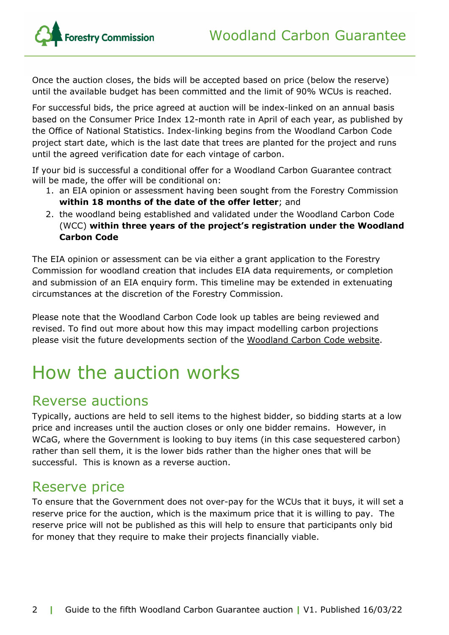

Once the auction closes, the bids will be accepted based on price (below the reserve) until the available budget has been committed and the limit of 90% WCUs is reached.

For successful bids, the price agreed at auction will be index-linked on an annual basis based on the Consumer Price Index 12-month rate in April of each year, as published by the Office of National Statistics. Index-linking begins from the Woodland Carbon Code project start date, which is the last date that trees are planted for the project and runs until the agreed verification date for each vintage of carbon.

If your bid is successful a conditional offer for a Woodland Carbon Guarantee contract will be made, the offer will be conditional on:

- 1. an EIA opinion or assessment having been sought from the Forestry Commission **within 18 months of the date of the offer letter**; and
- 2. the woodland being established and validated under the Woodland Carbon Code (WCC) **within three years of the project's registration under the Woodland Carbon Code**

The EIA opinion or assessment can be via either a grant application to the Forestry Commission for woodland creation that includes EIA data requirements, or completion and submission of an EIA enquiry form. This timeline may be extended in extenuating circumstances at the discretion of the Forestry Commission.

Please note that the Woodland Carbon Code look up tables are being reviewed and revised. To find out more about how this may impact modelling carbon projections please visit the future developments section of the [Woodland](https://www.woodlandcarboncode.org.uk/standard-and-guidance/3-carbon-sequestration/3-3-project-carbon-sequestration#futuredevelopments) Carbon Code website.

# How the auction works

#### Reverse auctions

Typically, auctions are held to sell items to the highest bidder, so bidding starts at a low price and increases until the auction closes or only one bidder remains. However, in WCaG, where the Government is looking to buy items (in this case sequestered carbon) rather than sell them, it is the lower bids rather than the higher ones that will be successful. This is known as a reverse auction.

#### Reserve price

To ensure that the Government does not over-pay for the WCUs that it buys, it will set a reserve price for the auction, which is the maximum price that it is willing to pay. The reserve price will not be published as this will help to ensure that participants only bid for money that they require to make their projects financially viable.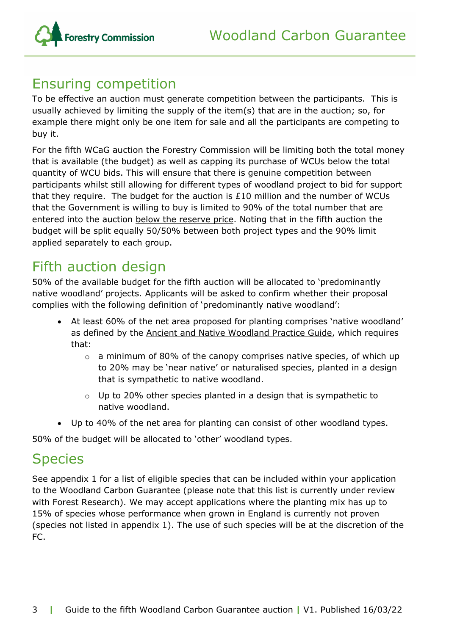

#### Ensuring competition

To be effective an auction must generate competition between the participants. This is usually achieved by limiting the supply of the item(s) that are in the auction; so, for example there might only be one item for sale and all the participants are competing to buy it.

For the fifth WCaG auction the Forestry Commission will be limiting both the total money that is available (the budget) as well as capping its purchase of WCUs below the total quantity of WCU bids. This will ensure that there is genuine competition between participants whilst still allowing for different types of woodland project to bid for support that they require. The budget for the auction is  $£10$  million and the number of WCUs that the Government is willing to buy is limited to 90% of the total number that are entered into the auction below the reserve price. Noting that in the fifth auction the budget will be split equally 50/50% between both project types and the 90% limit applied separately to each group.

## Fifth auction design

50% of the available budget for the fifth auction will be allocated to 'predominantly native woodland' projects. Applicants will be asked to confirm whether their proposal complies with the following definition of 'predominantly native woodland':

- At least 60% of the net area proposed for planting comprises 'native woodland' as defined by the Ancient and Native [Woodland](https://www.gov.uk/government/publications/managing-ancient-and-native-woodland-in-england) Practice Guide, which requires that:
	- $\circ$  a minimum of 80% of the canopy comprises native species, of which up to 20% may be 'near native' or naturalised species, planted in a design that is sympathetic to native woodland.
	- $\circ$  Up to 20% other species planted in a design that is sympathetic to native woodland.
- Up to 40% of the net area for planting can consist of other woodland types.

50% of the budget will be allocated to 'other' woodland types.

## **Species**

See appendix 1 for a list of eligible species that can be included within your application to the Woodland Carbon Guarantee (please note that this list is currently under review with Forest Research). We may accept applications where the planting mix has up to 15% of species whose performance when grown in England is currently not proven (species not listed in appendix 1). The use of such species will be at the discretion of the FC.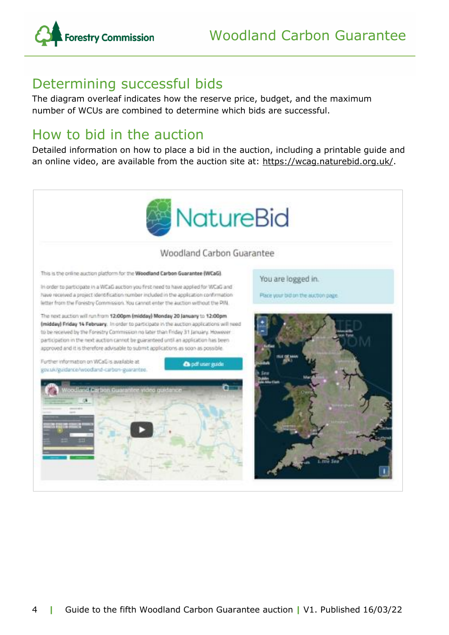

## Determining successful bids

The diagram overleaf indicates how the reserve price, budget, and the maximum number of WCUs are combined to determine which bids are successful.

### How to bid in the auction

Detailed information on how to place a bid in the auction, including a printable guide and an online video, are available from the auction site at: [https://wcag.naturebid.org.uk/.](https://wcag.naturebid.org.uk/)

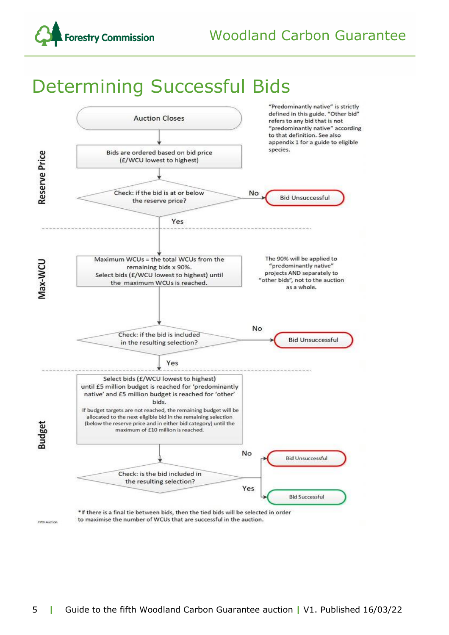

# Determining Successful Bids

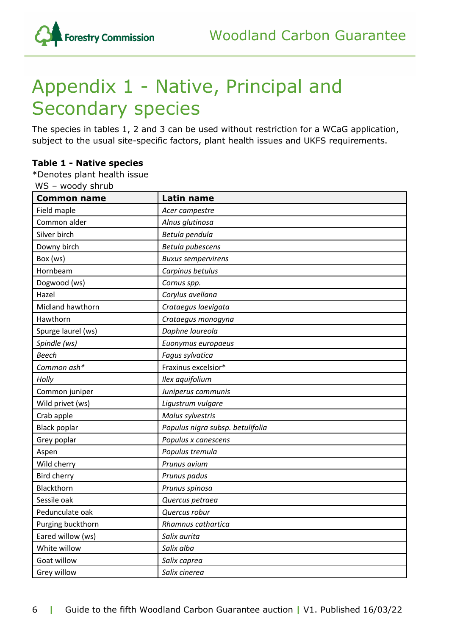

# Appendix 1 - Native, Principal and Secondary species

The species in tables 1, 2 and 3 can be used without restriction for a WCaG application, subject to the usual site-specific factors, plant health issues and UKFS requirements.

#### **Table 1 - Native species**

\*Denotes plant health issue

WS – woody shrub

| <b>Common name</b>  | <b>Latin name</b>                |
|---------------------|----------------------------------|
| Field maple         | Acer campestre                   |
| Common alder        | Alnus glutinosa                  |
| Silver birch        | Betula pendula                   |
| Downy birch         | Betula pubescens                 |
| Box (ws)            | <b>Buxus sempervirens</b>        |
| Hornbeam            | Carpinus betulus                 |
| Dogwood (ws)        | Cornus spp.                      |
| Hazel               | Corylus avellana                 |
| Midland hawthorn    | Crataegus laevigata              |
| Hawthorn            | Crataegus monogyna               |
| Spurge laurel (ws)  | Daphne laureola                  |
| Spindle (ws)        | Euonymus europaeus               |
| <b>Beech</b>        | Fagus sylvatica                  |
| Common ash*         | Fraxinus excelsior*              |
| Holly               | Ilex aquifolium                  |
| Common juniper      | Juniperus communis               |
| Wild privet (ws)    | Ligustrum vulgare                |
| Crab apple          | Malus sylvestris                 |
| <b>Black poplar</b> | Populus nigra subsp. betulifolia |
| Grey poplar         | Populus x canescens              |
| Aspen               | Populus tremula                  |
| Wild cherry         | Prunus avium                     |
| <b>Bird cherry</b>  | Prunus padus                     |
| Blackthorn          | Prunus spinosa                   |
| Sessile oak         | Quercus petraea                  |
| Pedunculate oak     | Quercus robur                    |
| Purging buckthorn   | Rhamnus cathartica               |
| Eared willow (ws)   | Salix aurita                     |
| White willow        | Salix alba                       |
| Goat willow         | Salix caprea                     |
| Grey willow         | Salix cinerea                    |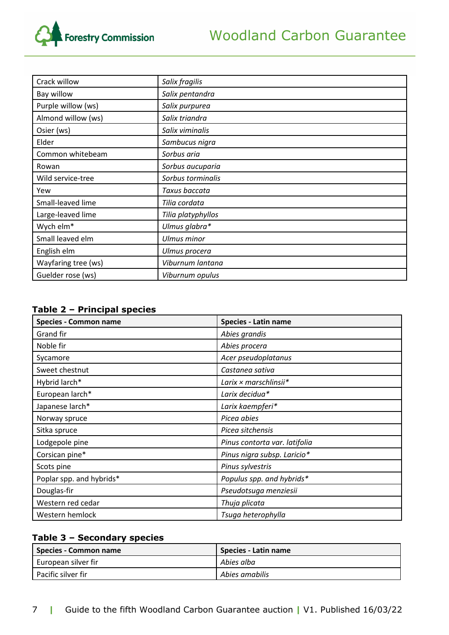

| Crack willow        | Salix fragilis     |
|---------------------|--------------------|
| Bay willow          | Salix pentandra    |
| Purple willow (ws)  | Salix purpurea     |
| Almond willow (ws)  | Salix triandra     |
| Osier (ws)          | Salix viminalis    |
| Elder               | Sambucus nigra     |
| Common whitebeam    | Sorbus aria        |
| Rowan               | Sorbus aucuparia   |
| Wild service-tree   | Sorbus torminalis  |
| Yew                 | Taxus baccata      |
| Small-leaved lime   | Tilia cordata      |
| Large-leaved lime   | Tilia platyphyllos |
| Wych elm*           | Ulmus glabra*      |
| Small leaved elm    | <b>Ulmus minor</b> |
| English elm         | Ulmus procera      |
| Wayfaring tree (ws) | Viburnum lantana   |
| Guelder rose (ws)   | Viburnum opulus    |

#### **Table 2 – Principal species**

| <b>Species - Common name</b> | <b>Species - Latin name</b>   |
|------------------------------|-------------------------------|
| Grand fir                    | Abies grandis                 |
| Noble fir                    | Abies procera                 |
| Sycamore                     | Acer pseudoplatanus           |
| Sweet chestnut               | Castanea sativa               |
| Hybrid larch*                | Larix × marschlinsii*         |
| European larch*              | Larix decidua*                |
| Japanese larch*              | Larix kaempferi*              |
| Norway spruce                | Picea abies                   |
| Sitka spruce                 | Picea sitchensis              |
| Lodgepole pine               | Pinus contorta var. latifolia |
| Corsican pine*               | Pinus nigra subsp. Laricio*   |
| Scots pine                   | Pinus sylvestris              |
| Poplar spp. and hybrids*     | Populus spp. and hybrids*     |
| Douglas-fir                  | Pseudotsuga menziesii         |
| Western red cedar            | Thuja plicata                 |
| Western hemlock              | Tsuga heterophylla            |

#### **Table 3 – Secondary species**

| Species - Common name | Species - Latin name |
|-----------------------|----------------------|
| European silver fir   | Abies alba           |
| Pacific silver fir    | Abies amabilis       |